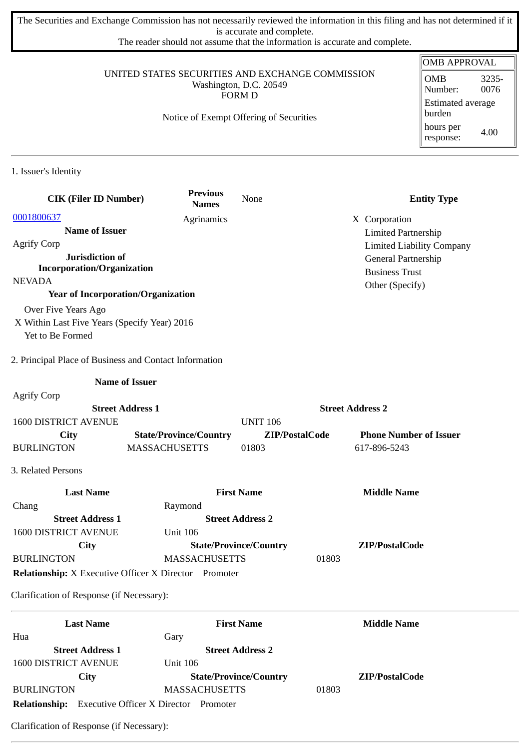The Securities and Exchange Commission has not necessarily reviewed the information in this filing and has not determined if it is accurate and complete.

The reader should not assume that the information is accurate and complete.

## UNITED STATES SECURITIES AND EXCHANGE COMMISSION Washington, D.C. 20549 FORM D Notice of Exempt Offering of Securities OMB APPROVAL OMB Number: 3235- 0076 Estimated average burden hours per response: 4.00 1. Issuer's Identity

| <b>CIK (Filer ID Number)</b>                           | <b>Previous</b><br><b>Names</b>                              | None                          | <b>Entity Type</b>               |
|--------------------------------------------------------|--------------------------------------------------------------|-------------------------------|----------------------------------|
| 0001800637                                             | Agrinamics                                                   |                               | X Corporation                    |
| <b>Name of Issuer</b>                                  |                                                              |                               | <b>Limited Partnership</b>       |
| <b>Agrify Corp</b>                                     |                                                              |                               | <b>Limited Liability Company</b> |
| Jurisdiction of                                        |                                                              |                               | General Partnership              |
| <b>Incorporation/Organization</b>                      |                                                              |                               | <b>Business Trust</b>            |
| <b>NEVADA</b>                                          |                                                              |                               | Other (Specify)                  |
| <b>Year of Incorporation/Organization</b>              |                                                              |                               |                                  |
| Over Five Years Ago                                    |                                                              |                               |                                  |
| X Within Last Five Years (Specify Year) 2016           |                                                              |                               |                                  |
| Yet to Be Formed                                       |                                                              |                               |                                  |
| 2. Principal Place of Business and Contact Information |                                                              |                               |                                  |
|                                                        | <b>Name of Issuer</b>                                        |                               |                                  |
| <b>Agrify Corp</b>                                     |                                                              |                               |                                  |
|                                                        | <b>Street Address 1</b>                                      |                               | <b>Street Address 2</b>          |
| <b>1600 DISTRICT AVENUE</b>                            |                                                              | <b>UNIT 106</b>               |                                  |
| City                                                   | <b>State/Province/Country</b>                                | ZIP/PostalCode                | <b>Phone Number of Issuer</b>    |
| <b>BURLINGTON</b>                                      | <b>MASSACHUSETTS</b>                                         | 01803                         | 617-896-5243                     |
| 3. Related Persons                                     |                                                              |                               |                                  |
| <b>Last Name</b>                                       |                                                              | <b>First Name</b>             | <b>Middle Name</b>               |
| Chang                                                  | Raymond                                                      |                               |                                  |
| <b>Street Address 1</b>                                |                                                              | <b>Street Address 2</b>       |                                  |
| <b>1600 DISTRICT AVENUE</b>                            | <b>Unit 106</b>                                              |                               |                                  |
| City                                                   |                                                              | <b>State/Province/Country</b> | ZIP/PostalCode                   |
| <b>BURLINGTON</b>                                      | <b>MASSACHUSETTS</b>                                         | 01803                         |                                  |
|                                                        | <b>Relationship:</b> X Executive Officer X Director Promoter |                               |                                  |
| Clarification of Response (if Necessary):              |                                                              |                               |                                  |
| <b>Last Name</b>                                       |                                                              | <b>First Name</b>             | <b>Middle Name</b>               |
| Hua                                                    | Gary                                                         |                               |                                  |

**Street Address 1 Street Address 2** 1600 DISTRICT AVENUE Unit 106 **City State/Province/Country ZIP/PostalCode** BURLINGTON MASSACHUSETTS 01803 **Relationship:** Executive Officer X Director Promoter

Clarification of Response (if Necessary):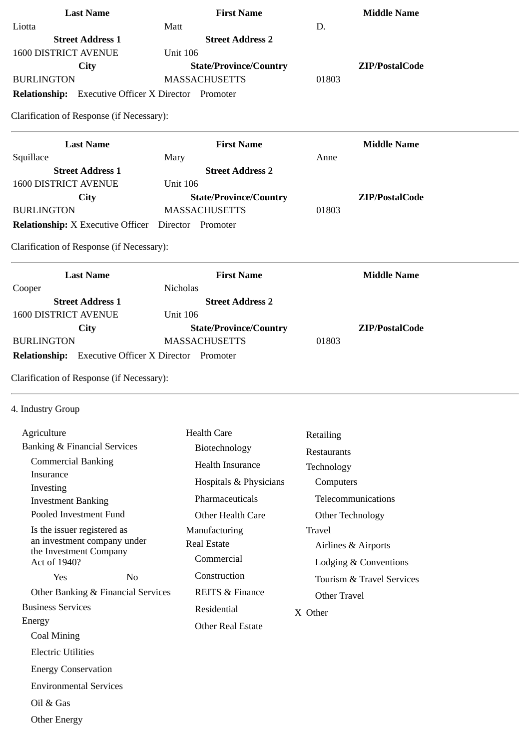|                             | <b>Last Name</b>                          | <b>First Name</b>                                            |       | <b>Middle Name</b> |
|-----------------------------|-------------------------------------------|--------------------------------------------------------------|-------|--------------------|
| Liotta                      |                                           | Matt                                                         | D.    |                    |
|                             | <b>Street Address 1</b>                   | <b>Street Address 2</b>                                      |       |                    |
| 1600 DISTRICT AVENUE        |                                           | <b>Unit 106</b>                                              |       |                    |
|                             | <b>City</b>                               | <b>State/Province/Country</b>                                |       | ZIP/PostalCode     |
| <b>BURLINGTON</b>           |                                           | <b>MASSACHUSETTS</b>                                         | 01803 |                    |
|                             |                                           | Relationship: Executive Officer X Director Promoter          |       |                    |
|                             | Clarification of Response (if Necessary): |                                                              |       |                    |
|                             | <b>Last Name</b>                          | <b>First Name</b>                                            |       | <b>Middle Name</b> |
| Squillace                   |                                           | Mary                                                         | Anne  |                    |
|                             | <b>Street Address 1</b>                   | <b>Street Address 2</b>                                      |       |                    |
| <b>1600 DISTRICT AVENUE</b> |                                           | <b>Unit 106</b>                                              |       |                    |
|                             | City                                      | <b>State/Province/Country</b>                                |       | ZIP/PostalCode     |
| <b>BURLINGTON</b>           |                                           | <b>MASSACHUSETTS</b>                                         | 01803 |                    |
|                             |                                           | <b>Relationship:</b> X Executive Officer  Director  Promoter |       |                    |
|                             | Clarification of Response (if Necessary): |                                                              |       |                    |
|                             | <b>Last Name</b>                          | <b>First Name</b>                                            |       | <b>Middle Name</b> |
| Cooper                      |                                           | <b>Nicholas</b>                                              |       |                    |
|                             | <b>Street Address 1</b>                   | <b>Street Address 2</b>                                      |       |                    |
| <b>1600 DISTRICT AVENUE</b> |                                           | <b>Unit 106</b>                                              |       |                    |
|                             | City                                      | <b>State/Province/Country</b>                                |       | ZIP/PostalCode     |
| <b>BURLINGTON</b>           |                                           | <b>MASSACHUSETTS</b>                                         | 01803 |                    |
|                             |                                           | Relationship: Executive Officer X Director Promoter          |       |                    |

Clarification of Response (if Necessary):

4. Industry Group

| Agriculture                             |                | <b>Health Care</b>         | Retailing                 |
|-----------------------------------------|----------------|----------------------------|---------------------------|
| <b>Banking &amp; Financial Services</b> |                | Biotechnology              | Restaurants               |
| <b>Commercial Banking</b>               |                | <b>Health Insurance</b>    | Technology                |
| Insurance                               |                | Hospitals & Physicians     | Computers                 |
| Investing                               |                | Pharmaceuticals            | Telecommunications        |
| <b>Investment Banking</b>               |                |                            |                           |
| Pooled Investment Fund                  |                | Other Health Care          | Other Technology          |
| Is the issuer registered as             |                | Manufacturing              | Travel                    |
| an investment company under             |                | <b>Real Estate</b>         | Airlines & Airports       |
| the Investment Company<br>Act of 1940?  |                | Commercial                 | Lodging & Conventions     |
| Yes                                     | N <sub>0</sub> | Construction               | Tourism & Travel Services |
| Other Banking & Financial Services      |                | <b>REITS &amp; Finance</b> | Other Travel              |
| <b>Business Services</b>                |                | Residential                | X Other                   |
| Energy                                  |                | <b>Other Real Estate</b>   |                           |
| Coal Mining                             |                |                            |                           |
| <b>Electric Utilities</b>               |                |                            |                           |
| <b>Energy Conservation</b>              |                |                            |                           |

Environmental Services

Oil & Gas

Other Energy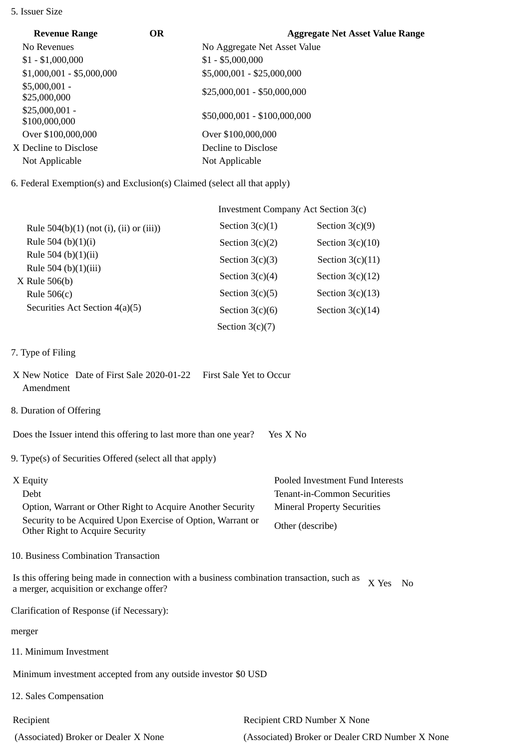## 5. Issuer Size

| <b>Revenue Range</b>             | <b>OR</b> | <b>Aggregate Net Asset Value Range</b> |
|----------------------------------|-----------|----------------------------------------|
| No Revenues                      |           | No Aggregate Net Asset Value           |
| $$1 - $1,000,000$                |           | $$1 - $5,000,000$                      |
| $$1,000,001 - $5,000,000$        |           | \$5,000,001 - \$25,000,000             |
| $$5,000,001 -$<br>\$25,000,000   |           | $$25,000,001 - $50,000,000$            |
| $$25,000,001 -$<br>\$100,000,000 |           | \$50,000,001 - \$100,000,000           |
| Over \$100,000,000               |           | Over \$100,000,000                     |
| X Decline to Disclose            |           | Decline to Disclose                    |
| Not Applicable                   |           | Not Applicable                         |

6. Federal Exemption(s) and Exclusion(s) Claimed (select all that apply)

|                                            |                   | <b>Investment Company Act Section 3(c)</b> |  |
|--------------------------------------------|-------------------|--------------------------------------------|--|
| Rule $504(b)(1)$ (not (i), (ii) or (iii))  | Section $3(c)(1)$ | Section $3(c)(9)$                          |  |
| Rule 504 (b) $(1)(i)$                      | Section $3(c)(2)$ | Section $3(c)(10)$                         |  |
| Rule 504 (b) $(1)(ii)$                     | Section $3(c)(3)$ | Section $3(c)(11)$                         |  |
| Rule 504 (b) $(1)(iii)$<br>$X$ Rule 506(b) | Section $3(c)(4)$ | Section $3(c)(12)$                         |  |
| Rule 506(c)                                | Section $3(c)(5)$ | Section $3(c)(13)$                         |  |
| Securities Act Section 4(a)(5)             | Section $3(c)(6)$ | Section $3(c)(14)$                         |  |
|                                            | Section $3(c)(7)$ |                                            |  |

- 7. Type of Filing
- X New Notice Date of First Sale 2020-01-22 First Sale Yet to Occur Amendment
- 8. Duration of Offering

| Does the Issuer intend this offering to last more than one year? | Yes X No |  |
|------------------------------------------------------------------|----------|--|
|                                                                  |          |  |

9. Type(s) of Securities Offered (select all that apply)

| X Equity                                                                                       | Pooled Investment Fund Interests   |
|------------------------------------------------------------------------------------------------|------------------------------------|
| Debt                                                                                           | Tenant-in-Common Securities        |
| Option, Warrant or Other Right to Acquire Another Security                                     | <b>Mineral Property Securities</b> |
| Security to be Acquired Upon Exercise of Option, Warrant or<br>Other Right to Acquire Security | Other (describe)                   |

10. Business Combination Transaction

Is this offering being made in connection with a business combination transaction, such as  $X$  Yes No a merger, acquisition or exchange offer?

Clarification of Response (if Necessary):

merger

11. Minimum Investment

Minimum investment accepted from any outside investor \$0 USD

12. Sales Compensation

Recipient Recipient CRD Number X None (Associated) Broker or Dealer X None (Associated) Broker or Dealer CRD Number X None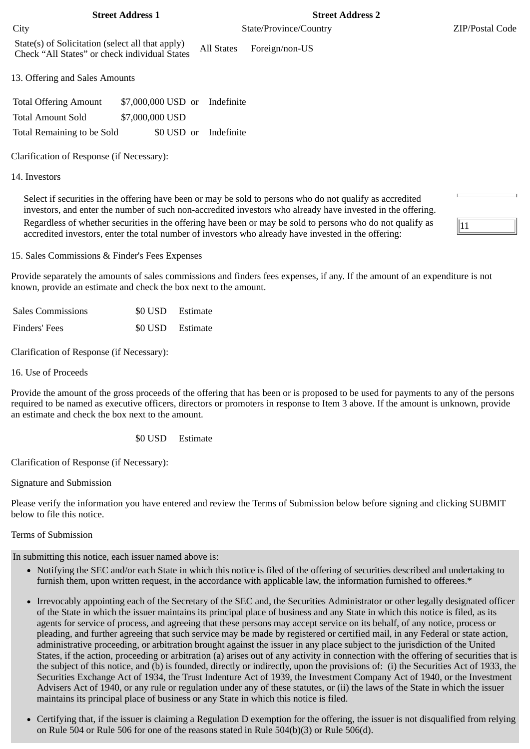## **Street Address 1 Street Address 2**

State(s) of Solicitation (select all that apply) Check "All States" or check individual States All States Foreign/non-US

13. Offering and Sales Amounts

| <b>Total Offering Amount</b> | \$7,000,000 USD or Indefinite |  |
|------------------------------|-------------------------------|--|
| <b>Total Amount Sold</b>     | \$7,000,000 USD               |  |
| Total Remaining to be Sold   | \$0 USD or Indefinite         |  |

Clarification of Response (if Necessary):

14. Investors

Select if securities in the offering have been or may be sold to persons who do not qualify as accredited investors, and enter the number of such non-accredited investors who already have invested in the offering. Regardless of whether securities in the offering have been or may be sold to persons who do not qualify as

accredited investors, enter the total number of investors who already have invested in the offering:

15. Sales Commissions & Finder's Fees Expenses

Provide separately the amounts of sales commissions and finders fees expenses, if any. If the amount of an expenditure is not known, provide an estimate and check the box next to the amount.

| <b>Sales Commissions</b> | \$0 USD Estimate |
|--------------------------|------------------|
| Finders' Fees            | \$0 USD Estimate |

Clarification of Response (if Necessary):

16. Use of Proceeds

Provide the amount of the gross proceeds of the offering that has been or is proposed to be used for payments to any of the persons required to be named as executive officers, directors or promoters in response to Item 3 above. If the amount is unknown, provide an estimate and check the box next to the amount.

\$0 USD Estimate

Clarification of Response (if Necessary):

Signature and Submission

Please verify the information you have entered and review the Terms of Submission below before signing and clicking SUBMIT below to file this notice.

Terms of Submission

In submitting this notice, each issuer named above is:

- Notifying the SEC and/or each State in which this notice is filed of the offering of securities described and undertaking to furnish them, upon written request, in the accordance with applicable law, the information furnished to offerees.\*
- Irrevocably appointing each of the Secretary of the SEC and, the Securities Administrator or other legally designated officer of the State in which the issuer maintains its principal place of business and any State in which this notice is filed, as its agents for service of process, and agreeing that these persons may accept service on its behalf, of any notice, process or pleading, and further agreeing that such service may be made by registered or certified mail, in any Federal or state action, administrative proceeding, or arbitration brought against the issuer in any place subject to the jurisdiction of the United States, if the action, proceeding or arbitration (a) arises out of any activity in connection with the offering of securities that is the subject of this notice, and (b) is founded, directly or indirectly, upon the provisions of: (i) the Securities Act of 1933, the Securities Exchange Act of 1934, the Trust Indenture Act of 1939, the Investment Company Act of 1940, or the Investment Advisers Act of 1940, or any rule or regulation under any of these statutes, or (ii) the laws of the State in which the issuer maintains its principal place of business or any State in which this notice is filed.
- Certifying that, if the issuer is claiming a Regulation D exemption for the offering, the issuer is not disqualified from relying on Rule 504 or Rule 506 for one of the reasons stated in Rule 504(b)(3) or Rule 506(d).